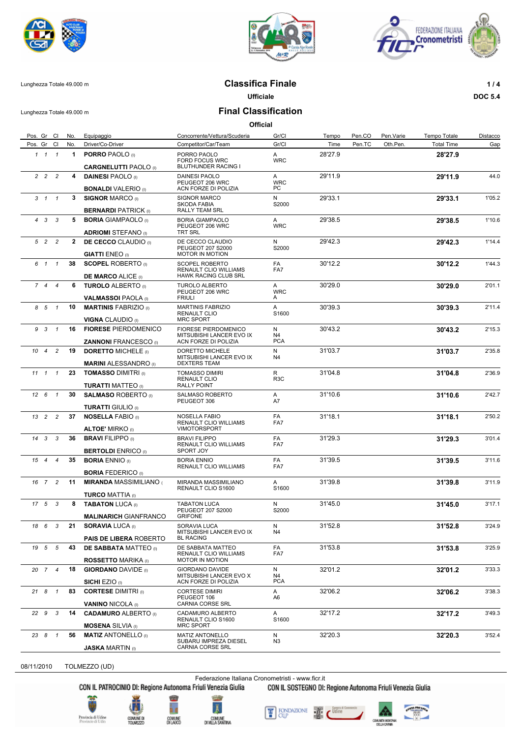





## Lunghezza Totale 49.000 m **Classifica Finale 1 / 4**

**Ufficiale DOC 5.4**

Lunghezza Totale 49.000 m **Final Classification**

**Official**

| Pos. Gr Cl             | No.          | Equipaggio                                                                                  | Concorrente/Vettura/Scuderia                                              | Gr/Cl                  | Tempo   | Pen.CO | Pen.Varie | Tempo Totale      | Distacco |
|------------------------|--------------|---------------------------------------------------------------------------------------------|---------------------------------------------------------------------------|------------------------|---------|--------|-----------|-------------------|----------|
| Pos. Gr Cl             | No.          | Driver/Co-Driver                                                                            | Competitor/Car/Team                                                       | Gr/Cl                  | Time    | Pen.TC | Oth.Pen.  | <b>Total Time</b> | Gap      |
| $1 \quad 1 \quad 1$    | $\mathbf 1$  | <b>PORRO PAOLO</b> (I)<br><b>CARGNELUTTI PAOLO</b> (I)                                      | PORRO PAOLO<br>FORD FOCUS WRC<br>BLUTHUNDER RACING I                      | A<br><b>WRC</b>        | 28'27.9 |        |           | 28'27.9           |          |
| $2 \quad 2 \quad 2$    | 4            | <b>DAINESI PAOLO</b> (I)                                                                    | <b>DAINESI PAOLO</b><br>PEUGEOT 206 WRC                                   | A<br><b>WRC</b>        | 29'11.9 |        |           | 29'11.9           | 44.0     |
|                        |              | <b>BONALDI</b> VALERIO (I)                                                                  | ACN FORZE DI POLIZIA                                                      | PC.                    |         |        |           |                   |          |
| $3 \quad 1 \quad 1$    | $\mathbf{3}$ | <b>SIGNOR MARCO (I)</b><br><b>BERNARDI PATRICK (I)</b>                                      | <b>SIGNOR MARCO</b><br><b>SKODA FABIA</b><br><b>RALLY TEAM SRL</b>        | N<br>S2000             | 29'33.1 |        |           | 29'33.1           | 1'05.2   |
| $4 \quad 3 \quad 3$    | 5            | <b>BORIA GIAMPAOLO</b> (I)                                                                  | <b>BORIA GIAMPAOLO</b><br>PEUGEOT 206 WRC                                 | A<br><b>WRC</b>        | 29'38.5 |        |           | 29'38.5           | 1'10.6   |
| 5 2 2                  | $\mathbf{2}$ | <b>ADRIOMI STEFANO</b> (i)<br><b>DE CECCO</b> CLAUDIO (I)                                   | TRT SRL<br>DE CECCO CLAUDIO<br>PEUGEOT 207 S2000                          | N<br>S2000             | 29'42.3 |        |           | 29'42.3           | 1'14.4   |
| 6 1<br>$\overline{1}$  | 38           | <b>GIATTI ENEO</b> (I)<br><b>SCOPEL ROBERTO</b> (i)                                         | <b>MOTOR IN MOTION</b><br>SCOPEL ROBERTO                                  | FA                     | 30'12.2 |        |           | 30'12.2           | 1'44.3   |
|                        |              | <b>DE MARCO ALICE (I)</b>                                                                   | RENAULT CLIO WILLIAMS<br>HAWK RACING CLUB SRL                             | FA7                    | 30'29.0 |        |           |                   |          |
| 74<br>$\overline{4}$   | 6            | <b>TUROLO ALBERTO</b> (I)<br><b>VALMASSOI PAOLA</b> (I)                                     | <b>TUROLO ALBERTO</b><br>PEUGEOT 206 WRC<br><b>FRIULI</b>                 | A<br><b>WRC</b><br>A   |         |        |           | 30'29.0           | 2'01.1   |
| 8 5 1                  | 10           | <b>MARTINIS FABRIZIO</b> (I)<br><b>VIGNA CLAUDIO (I)</b>                                    | <b>MARTINIS FABRIZIO</b><br><b>RENAULT CLIO</b><br><b>MRC SPORT</b>       | A<br>S1600             | 30'39.3 |        |           | 30'39.3           | 2'11.4   |
| 9 3 1                  | 16           | <b>FIORESE PIERDOMENICO</b><br><b>ZANNONI FRANCESCO</b> (I)                                 | FIORESE PIERDOMENICO<br>MITSUBISHI LANCER EVO IX<br>ACN FORZE DI POLIZIA  | N.<br>N4<br><b>PCA</b> | 30'43.2 |        |           | 30'43.2           | 2'15.3   |
| $10 \t 4 \t 2$         | 19           | <b>DORETTO MICHELE (ii)</b>                                                                 | DORETTO MICHELE<br>MITSUBISHI LANCER EVO IX                               | N<br>N4                | 31'03.7 |        |           | 31'03.7           | 2'35.8   |
| $11 \quad 1 \quad 1$   | 23           | <b>MARINI ALESSANDRO</b> (I)<br><b>TOMASSO DIMITRI (I)</b>                                  | <b>DEXTERS TEAM</b><br><b>TOMASSO DIMIRI</b><br><b>RENAULT CLIO</b>       | R<br>R <sub>3</sub> C  | 31'04.8 |        |           | 31'04.8           | 2'36.9   |
| $12 \t6 \t1$           | 30           | <b>TURATTI MATTEO</b> (I)<br><b>SALMASO ROBERTO</b> (I)                                     | <b>RALLY POINT</b><br>SALMASO ROBERTO<br>PEUGEOT 306                      | Α<br>A7                | 31'10.6 |        |           | 31'10.6           | 2'42.7   |
| $13$ 2 2               | 37           | <b>TURATTI GIULIO</b> (I)<br><b>NOSELLA FABIO (I)</b>                                       | <b>NOSELLA FABIO</b><br>RENAULT CLIO WILLIAMS                             | FA<br>FA7              | 31'18.1 |        |           | 31'18.1           | 2'50.2   |
| $14$ 3 3               | 36           | <b>ALTOE' MIRKO</b> (I)<br><b>BRAVI FILIPPO (I)</b>                                         | <b>VIMOTORSPORT</b><br><b>BRAVI FILIPPO</b><br>RENAULT CLIO WILLIAMS      | FA<br>FA7              | 31'29.3 |        |           | 31'29.3           | 3'01.4   |
| $\overline{4}$<br>15 4 | 35           | <b>BERTOLDI ENRICO (i)</b><br><b>BORIA ENNIO</b> (I)                                        | SPORT JOY<br><b>BORIA ENNIO</b>                                           | FA                     | 31'39.5 |        |           | 31'39.5           | 3'11.6   |
| 16 7 2                 | 11           | <b>BORIA FEDERICO</b> (I)<br><b>MIRANDA MASSIMILIANO</b>                                    | RENAULT CLIO WILLIAMS<br>MIRANDA MASSIMILIANO                             | FA7<br>A               | 31'39.8 |        |           | 31'39.8           | 3'11.9   |
|                        |              | <b>TURCO MATTIA</b> (I)                                                                     | RENAULT CLIO S1600                                                        | S1600                  |         |        |           |                   |          |
| $17 \quad 5 \quad 3$   | 8            | <b>TABATON LUCA (I)</b><br><b>MALINARICH GIANFRANCO</b>                                     | <b>TABATON LUCA</b><br>PEUGEOT 207 S2000<br><b>GRIFONE</b>                | N<br>S2000             | 31'45.0 |        |           | 31'45.0           | 3'17.1   |
| 18 6 3                 |              | 21 SORAVIA LUCA (I)                                                                         | SORAVIA LUCA<br>MITSUBISHI LANCER EVO IX<br><b>BL RACING</b>              | N<br>N4                | 31'52.8 |        |           | 31'52.8           | 3'24.9   |
| 19 5 5                 | 43           | <b>PAIS DE LIBERA ROBERTO</b><br><b>DE SABBATA MATTEO</b> (I)<br><b>ROSSETTO MARIKA</b> (i) | DE SABBATA MATTEO<br>RENAULT CLIO WILLIAMS<br>MOTOR IN MOTION             | FA<br>FA7              | 31'53.8 |        |           | 31'53.8           | 3'25.9   |
| 20 7 4                 | 18           | <b>GIORDANO DAVIDE (I)</b>                                                                  | <b>GIORDANO DAVIDE</b><br>MITSUBISHI LANCER EVO X<br>ACN FORZE DI POLIZIA | N<br>N4<br><b>PCA</b>  | 32'01.2 |        |           | 32'01.2           | 3'33.3   |
| 21 8 1                 | 83           | SICHI EZIO (1)<br><b>CORTESE DIMITRI</b> (i)                                                | <b>CORTESE DIMIRI</b><br>PEUGEOT 106<br>CARNIA CORSE SRL                  | Α<br>A6                | 32'06.2 |        |           | 32'06.2           | 3'38.3   |
| 22 9 3                 | 14           | <b>VANINO NICOLA (I)</b><br><b>CADAMURO ALBERTO (I)</b><br><b>MOSENA</b> SILVIA (I)         | CADAMURO ALBERTO<br>RENAULT CLIO S1600<br><b>MRC SPORT</b>                | A<br>S1600             | 32'17.2 |        |           | 32'17.2           | 3'49.3   |
| 23 8 1                 | 56           | <b>MATIZ ANTONELLO</b> (I)<br><b>JASKA MARTIN</b> (I)                                       | <b>MATIZ ANTONELLO</b><br>SUBARU IMPREZA DIESEL<br>CARNIA CORSE SRL       | N<br>N3                | 32'20.3 |        |           | 32'20.3           | 3'52.4   |
|                        |              |                                                                                             |                                                                           |                        |         |        |           |                   |          |

08/11/2010 TOLMEZZO (UD)

Federazione Italiana Cronometristi - www.ficr.it<br>CON IL PATROCINIO DI: Regione Autonoma Friuli Venezia Giulia CON IL SOSTEGNO DI:

CON IL SOSTEGNO DI: Regione Autonoma Friuli Venezia Giulia





COMUNE D





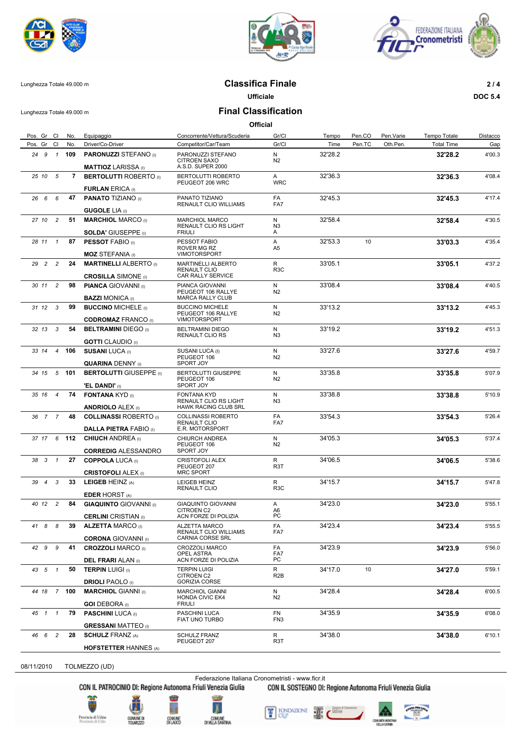





## Lunghezza Totale 49.000 m **Classifica Finale 2 / 4**

**Ufficiale DOC 5.4**

Lunghezza Totale 49.000 m **Final Classification**

| Pos. Gr Cl                      | No.         | Equipaggio                                                  | Concorrente/Vettura/Scuderia                                          | Gr/Cl                 | Tempo   | Pen.CO | Pen.Varie | Tempo Totale      | Distacco |
|---------------------------------|-------------|-------------------------------------------------------------|-----------------------------------------------------------------------|-----------------------|---------|--------|-----------|-------------------|----------|
| Pos. Gr Cl                      | No.         | Driver/Co-Driver                                            | Competitor/Car/Team                                                   | Gr/Cl                 | Time    | Pen.TC | Oth.Pen.  | <b>Total Time</b> | Gap      |
| 24 9 1                          | 109         | <b>PARONUZZI STEFANO</b> (I)<br><b>MATTIOZ LARISSA</b> (I)  | PARONUZZI STEFANO<br><b>CITROEN SAXO</b><br>A.S.D. SUPER 2000         | N<br>N2               | 32'28.2 |        |           | 32'28.2           | 4'00.3   |
| 25 10 5                         | $7^{\circ}$ | <b>BERTOLUTTI ROBERTO</b> (I)                               | BERTOLUTTI ROBERTO<br>PEUGEOT 206 WRC                                 | A<br><b>WRC</b>       | 32'36.3 |        |           | 32'36.3           | 4'08.4   |
|                                 |             | <b>FURLAN ERICA (I)</b>                                     |                                                                       |                       |         |        |           |                   |          |
| 26 6<br>6                       | 47          | <b>PANATO TIZIANO (I)</b><br><b>GUGOLE LIA</b> (I)          | PANATO TIZIANO<br>RENAULT CLIO WILLIAMS                               | FA<br>FA7             | 32'45.3 |        |           | 32'45.3           | 4'17.4   |
| 27 10 2                         | 51          | <b>MARCHIOL MARCO (I)</b>                                   | <b>MARCHIOL MARCO</b><br>RENAULT CLIO RS LIGHT                        | N<br>N <sub>3</sub>   | 32'58.4 |        |           | 32'58.4           | 4'30.5   |
| $\overline{1}$<br>28 11         | 87          | <b>SOLDA' GIUSEPPE</b> (I)<br><b>PESSOT FABIO (I)</b>       | <b>FRIULI</b><br>PESSOT FABIO                                         | A<br>A                | 32'53.3 | 10     |           | 33'03.3           | 4'35.4   |
|                                 |             | <b>MOZ STEFANIA</b> (I)                                     | ROVER MG RZ<br><b>VIMOTORSPORT</b>                                    | A <sub>5</sub>        |         |        |           |                   |          |
| 29 2 2                          | 24          | <b>MARTINELLI ALBERTO</b> (I)<br><b>CROSILLA SIMONE</b> (I) | <b>MARTINELLI ALBERTO</b><br><b>RENAULT CLIO</b><br>CAR RALLY SERVICE | R<br>R <sub>3</sub> C | 33'05.1 |        |           | 33'05.1           | 4'37.2   |
| 30 11 2                         | 98          | <b>PIANCA GIOVANNI</b> (I)                                  | PIANCA GIOVANNI                                                       | N                     | 33'08.4 |        |           | 33'08.4           | 4'40.5   |
|                                 |             | <b>BAZZI MONICA</b> (I)                                     | PEUGEOT 106 RALLYE<br><b>MARCA RALLY CLUB</b>                         | N2                    |         |        |           |                   |          |
| $31 \t12 \t3$                   | 99          | <b>BUCCINO MICHELE</b> (i)                                  | <b>BUCCINO MICHELE</b><br>PEUGEOT 106 RALLYE                          | Ν<br>N2               | 33'13.2 |        |           | 33'13.2           | 4'45.3   |
|                                 |             | <b>CODROMAZ FRANCO (I)</b>                                  | <b>VIMOTORSPORT</b>                                                   |                       |         |        |           |                   |          |
| 32 13 3                         | 54          | <b>BELTRAMINI DIEGO</b> (i)                                 | <b>BELTRAMINI DIEGO</b><br>RENAULT CLIO RS                            | N<br>N3               | 33'19.2 |        |           | 33'19.2           | 4'51.3   |
| $\overline{4}$<br>33 14         | 106         | <b>GOTTI</b> CLAUDIO (I)<br><b>SUSANI LUCA (I)</b>          | SUSANI LUCA (I)                                                       | N                     | 33'27.6 |        |           | 33'27.6           | 4'59.7   |
|                                 |             | <b>QUARINA DENNY (I)</b>                                    | PEUGEOT 106<br>SPORT JOY                                              | N2                    |         |        |           |                   |          |
| $5^{\circ}$<br>34 15            | 101         | <b>BERTOLUTTI GIUSEPPE (I)</b>                              | <b>BERTOLUTTI GIUSEPPE</b>                                            | N                     | 33'35.8 |        |           | 33'35.8           | 5'07.9   |
|                                 |             | 'EL DANDI' (i)                                              | PEUGEOT 106<br>SPORT JOY                                              | N2                    |         |        |           |                   |          |
| $\overline{4}$<br>35 16         | 74          | <b>FONTANA KYD</b> (I)<br><b>ANDRIOLO ALEX (I)</b>          | <b>FONTANA KYD</b><br>RENAULT CLIO RS LIGHT<br>HAWK RACING CLUB SRL   | N<br>N <sub>3</sub>   | 33'38.8 |        |           | 33'38.8           | 5'10.9   |
| 36 7 7                          | 48          | <b>COLLINASSI ROBERTO</b> (I)                               | <b>COLLINASSI ROBERTO</b>                                             | FA                    | 33'54.3 |        |           | 33'54.3           | 5'26.4   |
|                                 |             | <b>DALLA PIETRA FABIO (I)</b>                               | <b>RENAULT CLIO</b><br>E.R. MOTORSPORT                                | FA7                   |         |        |           |                   |          |
| 37 17 6 112                     |             | <b>CHIUCH ANDREA</b> (I)<br><b>CORREDIG ALESSANDRO</b>      | CHIURCH ANDREA<br>PEUGEOT 106<br>SPORT JOY                            | N<br>N2               | 34'05.3 |        |           | 34'05.3           | 5'37.4   |
| 38 3 1                          | 27          | <b>COPPOLA LUCA (I)</b>                                     | <b>CRISTOFOLI ALEX</b><br>PEUGEOT 207                                 | R<br>R3T              | 34'06.5 |        |           | 34'06.5           | 5'38.6   |
|                                 |             | <b>CRISTOFOLI ALEX (i)</b>                                  | <b>MRC SPORT</b>                                                      |                       |         |        |           |                   |          |
| $\overline{\mathbf{3}}$<br>39 4 | 33          | LEIGEB HEINZ (A)<br><b>EDER HORST</b> (A)                   | LEIGEB HEINZ<br><b>RENAULT CLIO</b>                                   | R<br>R <sub>3</sub> C | 34'15.7 |        |           | 34'15.7           | 5'47.8   |
| 40 12 2                         | 84          | <b>GIAQUINTO GIOVANNI</b> (I)                               | <b>GIAQUINTO GIOVANNI</b>                                             | Α                     | 34'23.0 |        |           | 34'23.0           | 5'55.1   |
|                                 |             | <b>CERLINI</b> CRISTIAN (I)                                 | <b>CITROEN C2</b><br>ACN FORZE DI POLIZIA                             | A6<br>PC              |         |        |           |                   |          |
| 41 8 8                          |             | 39 ALZETTA MARCO (I)                                        | ALZETTA MARCO<br>RENAULT CLIO WILLIAMS                                | FA<br>FA7             | 34'23.4 |        |           | 34'23.4           | 5'55.5   |
|                                 |             | <b>CORONA</b> GIOVANNI (0)                                  | CARNIA CORSE SRL                                                      |                       |         |        |           |                   |          |
| 42 9 9                          | 41          | <b>CROZZOLI MARCO</b> (I)<br><b>DEL FRARI</b> ALAN (I)      | CROZZOLI MARCO<br>OPEL ASTRA<br>ACN FORZE DI POLIZIA                  | FA<br>FA7<br>РC       | 34'23.9 |        |           | 34'23.9           | 5'56.0   |
| 43 5 1                          | 50          | <b>TERPIN LUIGI (I)</b>                                     | <b>TERPIN LUIGI</b><br>CITROEN C2                                     | R<br>R <sub>2</sub> B | 34'17.0 | 10     |           | 34'27.0           | 5'59.1   |
|                                 |             | <b>DRIOLI PAOLO</b> (I)                                     | <b>GORIZIA CORSE</b>                                                  |                       |         |        |           |                   |          |
| 44 18 7 100                     |             | <b>MARCHIOL GIANNI</b> (I)<br><b>GOI</b> DEBORA (I)         | <b>MARCHIOL GIANNI</b><br><b>HONDA CIVIC EK4</b><br><b>FRIULI</b>     | N<br>N <sub>2</sub>   | 34'28.4 |        |           | 34'28.4           | 6'00.5   |
| 45 1 1                          | 79          | <b>PASCHINI LUCA</b> (I)                                    | PASCHINI LUCA<br>FIAT UNO TURBO                                       | FN<br>FN3             | 34'35.9 |        |           | 34'35.9           | 6'08.0   |
|                                 |             | <b>GRESSANI MATTEO</b> (I)                                  |                                                                       |                       |         |        |           |                   |          |
| 46 6 2                          | 28          | <b>SCHULZ FRANZ (A)</b>                                     | <b>SCHULZ FRANZ</b><br>PEUGEOT 207                                    | R<br>R3T              | 34'38.0 |        |           | 34'38.0           | 6'10.1   |
|                                 |             | <b>HOFSTETTER HANNES (A)</b>                                |                                                                       |                       |         |        |           |                   |          |

08/11/2010 TOLMEZZO (UD)

Federazione Italiana Cronometristi - www.ficr.it<br>CON IL PATROCINIO DI: Regione Autonoma Friuli Venezia Giulia CON IL SOSTEGNO DI: Regione Autonoma Friuli Venezia Giulia









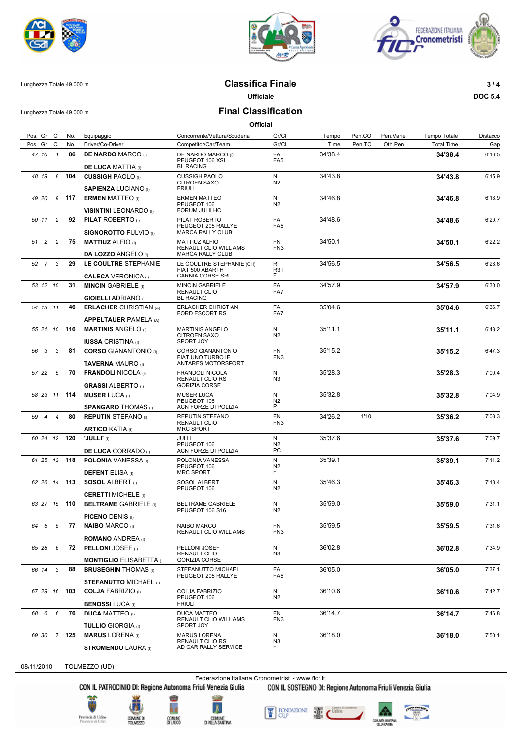





## Lunghezza Totale 49.000 m **Classifica Finale 3 / 4**

**Ufficiale DOC 5.4**

Lunghezza Totale 49.000 m **Final Classification**

**Official**

| Pos. Gr Cl                        | No.   | Equipaggio                                                    | Concorrente/Vettura/Scuderia                                             | Gr/Cl                        | Tempo   | Pen.CO | Pen.Varie | Tempo Totale      | Distacco |
|-----------------------------------|-------|---------------------------------------------------------------|--------------------------------------------------------------------------|------------------------------|---------|--------|-----------|-------------------|----------|
| Pos. Gr Cl                        | No.   | Driver/Co-Driver                                              | Competitor/Car/Team                                                      | Gr/Cl                        | Time    | Pen.TC | Oth.Pen.  | <b>Total Time</b> | Gap      |
| 47 10 1                           | 86    | <b>DE NARDO MARCO</b> (I)<br><b>DE LUCA MATTIA (I)</b>        | DE NARDO MARCO (I)<br>PEUGEOT 106 XSI<br><b>BL RACING</b>                | FA<br>FA <sub>5</sub>        | 34'38.4 |        |           | 34'38.4           | 6'10.5   |
| $\boldsymbol{8}$<br>48 19         | 104   | <b>CUSSIGH PAOLO</b> (I)                                      | <b>CUSSIGH PAOLO</b><br><b>CITROEN SAXO</b>                              | N<br>N2                      | 34'43.8 |        |           | 34'43.8           | 6'15.9   |
|                                   |       | <b>SAPIENZA LUCIANO</b> (I)                                   | <b>FRIULI</b>                                                            |                              |         |        |           |                   |          |
| 49 20                             | 9 117 | <b>ERMEN MATTEO</b> (I)<br><b>VISINTINI LEONARDO</b> (I)      | <b>ERMEN MATTEO</b><br>PEUGEOT 106<br>FORUM JULII HC                     | N<br>N2                      | 34'46.8 |        |           | 34'46.8           | 6'18.9   |
| 50 11<br>$\overline{\phantom{a}}$ | 92    | <b>PILAT ROBERTO</b> (I)                                      | PILAT ROBERTO<br>PEUGEOT 205 RALLYE                                      | FA<br>FA <sub>5</sub>        | 34'48.6 |        |           | 34'48.6           | 6'20.7   |
| 51 2 2                            | 75    | <b>SIGNOROTTO FULVIO</b> (I)<br><b>MATTIUZ ALFIO</b> (i)      | <b>MARCA RALLY CLUB</b><br><b>MATTIUZ ALFIO</b><br>RENAULT CLIO WILLIAMS | FN<br>FN3                    | 34'50.1 |        |           | 34'50.1           | 6'22.2   |
| 52 7 3                            | 29    | <b>DA LOZZO ANGELO (I)</b><br>LE COULTRE STEPHANIE            | <b>MARCA RALLY CLUB</b><br>LE COULTRE STEPHANIE (CH)<br>FIAT 500 ABARTH  | R<br>R <sub>3</sub> T        | 34'56.5 |        |           | 34'56.5           | 6'28.6   |
|                                   |       | <b>CALECA VERONICA</b> (I)                                    | CARNIA CORSE SRL                                                         | F.                           |         |        |           |                   |          |
| 53 12 10                          | 31    | <b>MINCIN GABRIELE</b> (i)<br><b>GIOIELLI ADRIANO</b> (I)     | <b>MINCIN GABRIELE</b><br>RENAULT CLIO<br><b>BL RACING</b>               | FA<br>FA7                    | 34'57.9 |        |           | 34'57.9           | 6'30.0   |
| 54 13 11                          | 46    | <b>ERLACHER CHRISTIAN (A)</b><br><b>APPELTAUER PAMELA (A)</b> | ERLACHER CHRISTIAN<br><b>FORD ESCORT RS</b>                              | FA<br>FA7                    | 35'04.6 |        |           | 35'04.6           | 6'36.7   |
| 55 21 10                          | 116   | <b>MARTINIS ANGELO</b> (I)                                    | <b>MARTINIS ANGELO</b><br><b>CITROEN SAXO</b>                            | N<br>N2                      | 35'11.1 |        |           | 35'11.1           | 6'43.2   |
|                                   |       | <b>IUSSA CRISTINA</b> (i)                                     | SPORT JOY                                                                |                              |         |        |           |                   |          |
| 56 3 3                            | 81    | <b>CORSO GIANANTONIO</b> (I)<br><b>TAVERNA MAURO</b> (I)      | <b>CORSO GIANANTONIO</b><br>FIAT UNO TURBO IE<br>ANTARES MOTORSPORT      | <b>FN</b><br>FN <sub>3</sub> | 35'15.2 |        |           | 35'15.2           | 6'47.3   |
| 57 22 5                           | 70    | <b>FRANDOLI NICOLA (I)</b><br><b>GRASSI ALBERTO</b> (I)       | <b>FRANDOLI NICOLA</b><br>RENAULT CLIO RS<br><b>GORIZIA CORSE</b>        | N<br>N3                      | 35'28.3 |        |           | 35'28.3           | 7'00.4   |
| 58 23 11                          | 114   | <b>MUSER LUCA</b> (I)                                         | <b>MUSER LUCA</b><br>PEUGEOT 106                                         | N<br>N2<br>P                 | 35'32.8 |        |           | 35'32.8           | 7'04.9   |
| $\overline{4}$<br>59 4            | 80    | <b>SPANGARO THOMAS</b> (I)<br><b>REPUTIN STEFANO</b> (I)      | ACN FORZE DI POLIZIA<br>REPUTIN STEFANO<br><b>RENAULT CLIO</b>           | <b>FN</b><br>FN <sub>3</sub> | 34'26.2 | 1'10   |           | 35'36.2           | 7'08.3   |
| 60 24 12                          | 120   | <b>ARTICO KATIA</b> (I)<br>'JULLI' (I)                        | <b>MRC SPORT</b><br>JULLI<br>PEUGEOT 106                                 | N<br>N2                      | 35'37.6 |        |           | 35'37.6           | 7'09.7   |
|                                   |       | <b>DE LUCA CORRADO</b> (I)                                    | ACN FORZE DI POLIZIA                                                     | PC.                          |         |        |           |                   |          |
| 61 25 13 118                      |       | <b>POLONIA</b> VANESSA (I)<br><b>DEFENT ELISA</b> (I)         | POLONIA VANESSA<br>PEUGEOT 106<br><b>MRC SPORT</b>                       | N<br>N2<br>F.                | 35'39.1 |        |           | 35'39.1           | 7'11.2   |
| 62 26 14 113                      |       | <b>SOSOL ALBERT</b> (i)<br><b>CERETTI MICHELE</b> (I)         | SOSOL ALBERT<br>PEUGEOT 106                                              | N<br>N2                      | 35'46.3 |        |           | 35'46.3           | 7'18.4   |
| 63 27 15 110                      |       | <b>BELTRAME GABRIELE (I)</b>                                  | <b>BELTRAME GABRIELE</b><br>PEUGEOT 106 S16                              | N<br>N2                      | 35'59.0 |        |           | 35'59.0           | 7'31.1   |
| 64 5 5                            |       | <b>PICENO DENIS (I)</b><br>77 NAIBO MARCO (I)                 | NAIBO MARCO<br>RENAULT CLIO WILLIAMS                                     | <b>FN</b><br>FN3             | 35'59.5 |        |           | 35'59.5           | 7'31.6   |
|                                   |       | <b>ROMANO ANDREA</b> (I)                                      |                                                                          |                              |         |        |           |                   |          |
| 65 28 6                           | 72    | <b>PELLONI JOSEF</b> (i)<br><b>MONTIGLIO ELISABETTA (</b>     | PELLONI JOSEF<br>RENAULT CLIO<br><b>GORIZIA CORSE</b>                    | N<br>N <sub>3</sub>          | 36'02.8 |        |           | 36'02.8           | 7'34.9   |
| 66 14 3                           | 88    | <b>BRUSEGHIN THOMAS</b> (I)                                   | STEFANUTTO MICHAEL<br>PEUGEOT 205 RALLYE                                 | FA<br>FA <sub>5</sub>        | 36'05.0 |        |           | 36'05.0           | 7'37.1   |
|                                   |       | <b>STEFANUTTO MICHAEL (I)</b>                                 |                                                                          |                              |         |        |           |                   |          |
| 67 29 16                          | 103   | <b>COLJA FABRIZIO</b> (I)<br><b>BENOSSI LUCA (I)</b>          | COLJA FABRIZIO<br>PEUGEOT 106<br><b>FRIULI</b>                           | N<br>N <sub>2</sub>          | 36'10.6 |        |           | 36'10.6           | 7'42.7   |
| 68 6 6                            | 76    | <b>DUCA MATTEO</b> (I)<br><b>TULLIO GIORGIA (I)</b>           | <b>DUCA MATTEO</b><br>RENAULT CLIO WILLIAMS<br>SPORT JOY                 | FN<br>FN <sub>3</sub>        | 36'14.7 |        |           | 36'14.7           | 7'46.8   |
| 69 30 7 125                       |       | <b>MARUS LORENA</b> (I)                                       | <b>MARUS LORENA</b><br>RENAULT CLIO RS                                   | N<br>N3                      | 36'18.0 |        |           | 36'18.0           | 7'50.1   |
|                                   |       | <b>STROMENDO LAURA (I)</b>                                    | AD CAR RALLY SERVICE                                                     | F.                           |         |        |           |                   |          |

08/11/2010 TOLMEZZO (UD)

Federazione Italiana Cronometristi - www.ficr.it<br>CON IL PATROCINIO DI: Regione Autonoma Friuli Venezia Giulia CON IL SOSTEGNO DI:

CON IL SOSTEGNO DI: Regione Autonoma Friuli Venezia Giulia





ĥ.